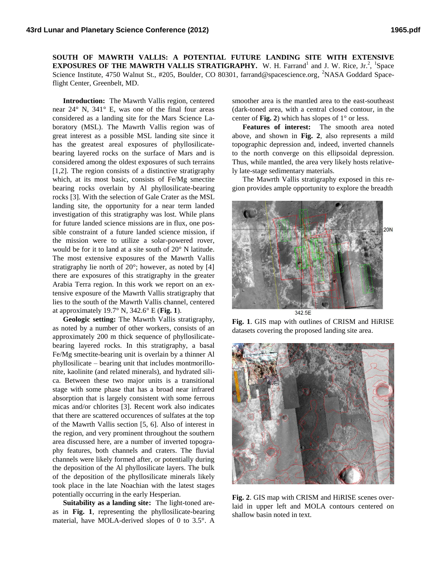**SOUTH OF MAWRTH VALLIS: A POTENTIAL FUTURE LANDING SITE WITH EXTENSIVE EXPOSURES OF THE MAWRTH VALLIS STRATIGRAPHY.** W. H. Farrand<sup>1</sup> and J. W. Rice, Jr.<sup>2</sup>, <sup>1</sup>Space Science Institute, 4750 Walnut St., #205, Boulder, CO 80301, farrand@spacescience.org, <sup>2</sup>NASA Goddard Spaceflight Center, Greenbelt, MD.

**Introduction:** The Mawrth Vallis region, centered near 24° N, 341° E, was one of the final four areas considered as a landing site for the Mars Science Laboratory (MSL). The Mawrth Vallis region was of great interest as a possible MSL landing site since it has the greatest areal exposures of phyllosilicatebearing layered rocks on the surface of Mars and is considered among the oldest exposures of such terrains [1,2]. The region consists of a distinctive stratigraphy which, at its most basic, consists of Fe/Mg smectite bearing rocks overlain by Al phyllosilicate-bearing rocks [3]. With the selection of Gale Crater as the MSL landing site, the opportunity for a near term landed investigation of this stratigraphy was lost. While plans for future landed science missions are in flux, one possible constraint of a future landed science mission, if the mission were to utilize a solar-powered rover, would be for it to land at a site south of 20° N latitude. The most extensive exposures of the Mawrth Vallis stratigraphy lie north of  $20^{\circ}$ ; however, as noted by [4] there are exposures of this stratigraphy in the greater Arabia Terra region. In this work we report on an extensive exposure of the Mawrth Vallis stratigraphy that lies to the south of the Mawrth Vallis channel, centered at approximately 19.7° N, 342.6° E (**Fig. 1**).

**Geologic setting:** The Mawrth Vallis stratigraphy, as noted by a number of other workers, consists of an approximately 200 m thick sequence of phyllosilicatebearing layered rocks. In this stratigraphy, a basal Fe/Mg smectite-bearing unit is overlain by a thinner Al phyllosilicate – bearing unit that includes montmorillonite, kaolinite (and related minerals), and hydrated silica. Between these two major units is a transitional stage with some phase that has a broad near infrared absorption that is largely consistent with some ferrous micas and/or chlorites [3]. Recent work also indicates that there are scattered occurences of sulfates at the top of the Mawrth Vallis section [5, 6]. Also of interest in the region, and very prominent throughout the southern area discussed here, are a number of inverted topography features, both channels and craters. The fluvial channels were likely formed after, or potentially during the deposition of the Al phyllosilicate layers. The bulk of the deposition of the phyllosilicate minerals likely took place in the late Noachian with the latest stages potentially occurring in the early Hesperian.

**Suitability as a landing site:** The light-toned areas in **Fig. 1**, representing the phyllosilicate-bearing material, have MOLA-derived slopes of 0 to 3.5°. A

smoother area is the mantled area to the east-southeast (dark-toned area, with a central closed contour, in the center of **Fig. 2**) which has slopes of  $1^{\circ}$  or less.

**Features of interest:** The smooth area noted above, and shown in **Fig. 2**, also represents a mild topographic depression and, indeed, inverted channels to the north converge on this ellipsoidal depression. Thus, while mantled, the area very likely hosts relatively late-stage sedimentary materials.

The Mawrth Vallis stratigraphy exposed in this region provides ample opportunity to explore the breadth



**Fig. 1**. GIS map with outlines of CRISM and HiRISE datasets covering the proposed landing site area.



**Fig. 2**. GIS map with CRISM and HiRISE scenes overlaid in upper left and MOLA contours centered on shallow basin noted in text.